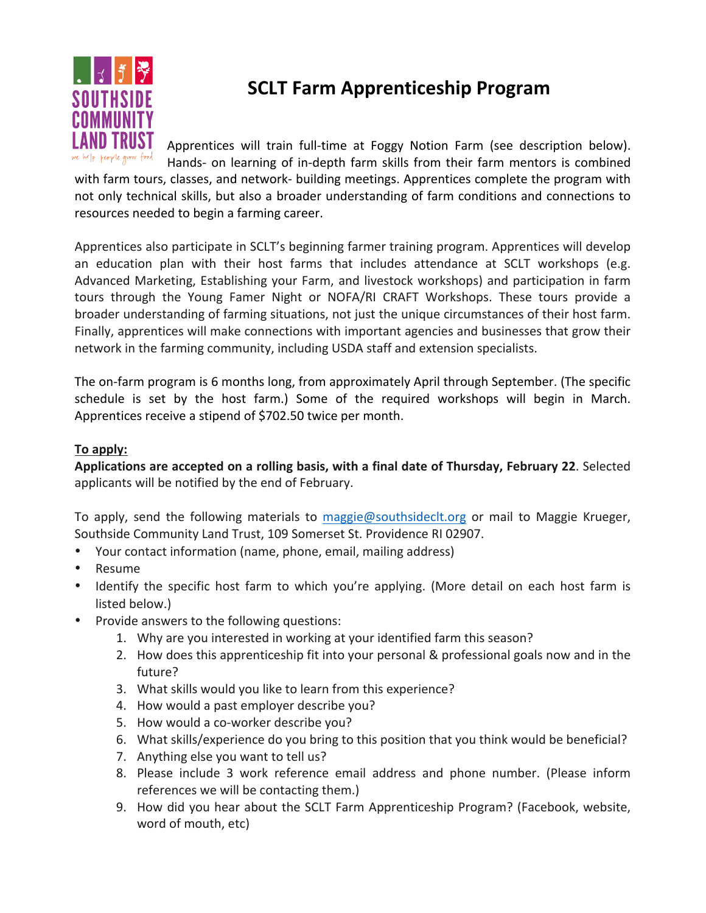

## **SCLT Farm Apprenticeship Program**

Apprentices will train full-time at Foggy Notion Farm (see description below).

Hands- on learning of in-depth farm skills from their farm mentors is combined with farm tours, classes, and network- building meetings. Apprentices complete the program with not only technical skills, but also a broader understanding of farm conditions and connections to resources needed to begin a farming career.

Apprentices also participate in SCLT's beginning farmer training program. Apprentices will develop an education plan with their host farms that includes attendance at SCLT workshops (e.g. Advanced Marketing, Establishing your Farm, and livestock workshops) and participation in farm tours through the Young Famer Night or NOFA/RI CRAFT Workshops. These tours provide a broader understanding of farming situations, not just the unique circumstances of their host farm. Finally, apprentices will make connections with important agencies and businesses that grow their network in the farming community, including USDA staff and extension specialists.

The on-farm program is 6 months long, from approximately April through September. (The specific schedule is set by the host farm.) Some of the required workshops will begin in March. Apprentices receive a stipend of \$702.50 twice per month.

## To apply:

Applications are accepted on a rolling basis, with a final date of Thursday, February 22. Selected applicants will be notified by the end of February.

To apply, send the following materials to maggie@southsideclt.org or mail to Maggie Krueger, Southside Community Land Trust, 109 Somerset St. Providence RI 02907.

- Your contact information (name, phone, email, mailing address)
- Resume
- Identify the specific host farm to which you're applying. (More detail on each host farm is listed below.)
- Provide answers to the following questions:
	- 1. Why are you interested in working at your identified farm this season?
	- 2. How does this apprenticeship fit into your personal & professional goals now and in the future?
	- 3. What skills would you like to learn from this experience?
	- 4. How would a past employer describe you?
	- 5. How would a co-worker describe you?
	- 6. What skills/experience do you bring to this position that you think would be beneficial?
	- 7. Anything else you want to tell us?
	- 8. Please include 3 work reference email address and phone number. (Please inform references we will be contacting them.)
	- 9. How did you hear about the SCLT Farm Apprenticeship Program? (Facebook, website, word of mouth, etc)